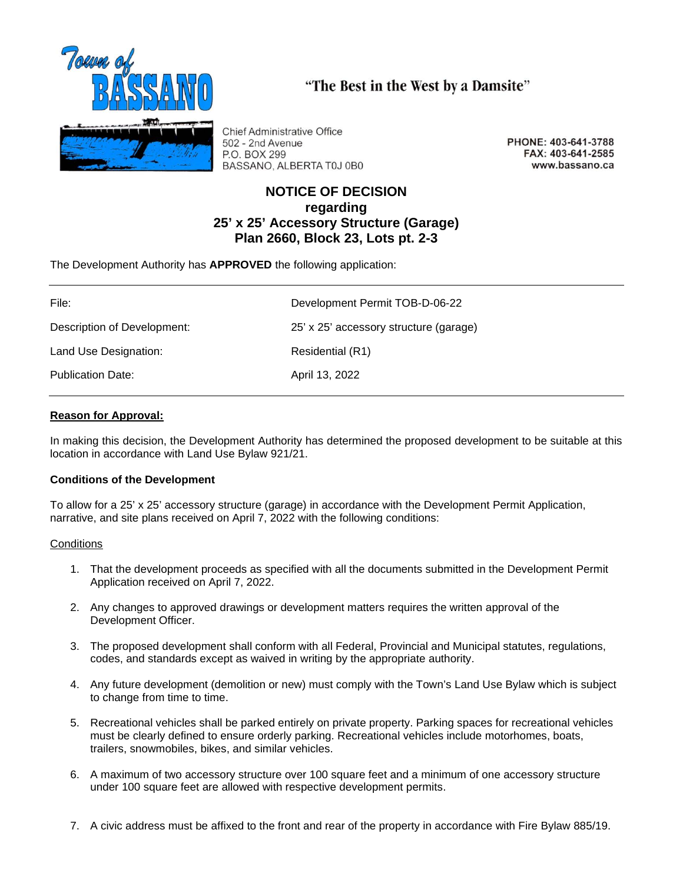

**Chief Administrative Office** 502 - 2nd Avenue P.O. BOX 299 BASSANO, ALBERTA T0J 0B0

PHONE: 403-641-3788 FAX: 403-641-2585 www.bassano.ca

# **NOTICE OF DECISION regarding 25' x 25' Accessory Structure (Garage) Plan 2660, Block 23, Lots pt. 2-3**

"The Best in the West by a Damsite"

The Development Authority has **APPROVED** the following application:

| File:                       | Development Permit TOB-D-06-22         |
|-----------------------------|----------------------------------------|
| Description of Development: | 25' x 25' accessory structure (garage) |
| Land Use Designation:       | Residential (R1)                       |
| <b>Publication Date:</b>    | April 13, 2022                         |

## **Reason for Approval:**

In making this decision, the Development Authority has determined the proposed development to be suitable at this location in accordance with Land Use Bylaw 921/21.

## **Conditions of the Development**

To allow for a 25' x 25' accessory structure (garage) in accordance with the Development Permit Application, narrative, and site plans received on April 7, 2022 with the following conditions:

## **Conditions**

- 1. That the development proceeds as specified with all the documents submitted in the Development Permit Application received on April 7, 2022.
- 2. Any changes to approved drawings or development matters requires the written approval of the Development Officer.
- 3. The proposed development shall conform with all Federal, Provincial and Municipal statutes, regulations, codes, and standards except as waived in writing by the appropriate authority.
- 4. Any future development (demolition or new) must comply with the Town's Land Use Bylaw which is subject to change from time to time.
- 5. Recreational vehicles shall be parked entirely on private property. Parking spaces for recreational vehicles must be clearly defined to ensure orderly parking. Recreational vehicles include motorhomes, boats, trailers, snowmobiles, bikes, and similar vehicles.
- 6. A maximum of two accessory structure over 100 square feet and a minimum of one accessory structure under 100 square feet are allowed with respective development permits.
- 7. A civic address must be affixed to the front and rear of the property in accordance with Fire Bylaw 885/19.